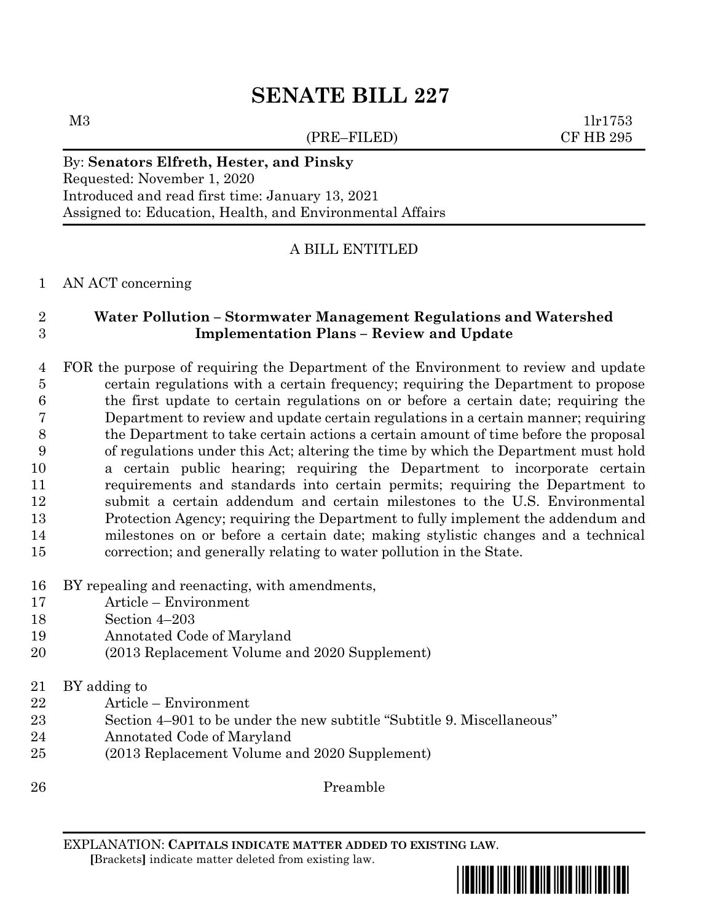# **SENATE BILL 227**

(PRE–FILED) CF HB 295

 $M3$  1lr1753

#### By: **Senators Elfreth, Hester, and Pinsky**

Requested: November 1, 2020 Introduced and read first time: January 13, 2021 Assigned to: Education, Health, and Environmental Affairs

## A BILL ENTITLED

AN ACT concerning

# **Water Pollution – Stormwater Management Regulations and Watershed Implementation Plans – Review and Update**

 FOR the purpose of requiring the Department of the Environment to review and update certain regulations with a certain frequency; requiring the Department to propose the first update to certain regulations on or before a certain date; requiring the Department to review and update certain regulations in a certain manner; requiring the Department to take certain actions a certain amount of time before the proposal of regulations under this Act; altering the time by which the Department must hold a certain public hearing; requiring the Department to incorporate certain requirements and standards into certain permits; requiring the Department to submit a certain addendum and certain milestones to the U.S. Environmental Protection Agency; requiring the Department to fully implement the addendum and milestones on or before a certain date; making stylistic changes and a technical correction; and generally relating to water pollution in the State.

## BY repealing and reenacting, with amendments,

- Article Environment
- Section 4–203
- Annotated Code of Maryland
- (2013 Replacement Volume and 2020 Supplement)
- BY adding to
- Article Environment
- Section 4–901 to be under the new subtitle "Subtitle 9. Miscellaneous"
- Annotated Code of Maryland
- (2013 Replacement Volume and 2020 Supplement)
- Preamble

EXPLANATION: **CAPITALS INDICATE MATTER ADDED TO EXISTING LAW**.

 **[**Brackets**]** indicate matter deleted from existing law.

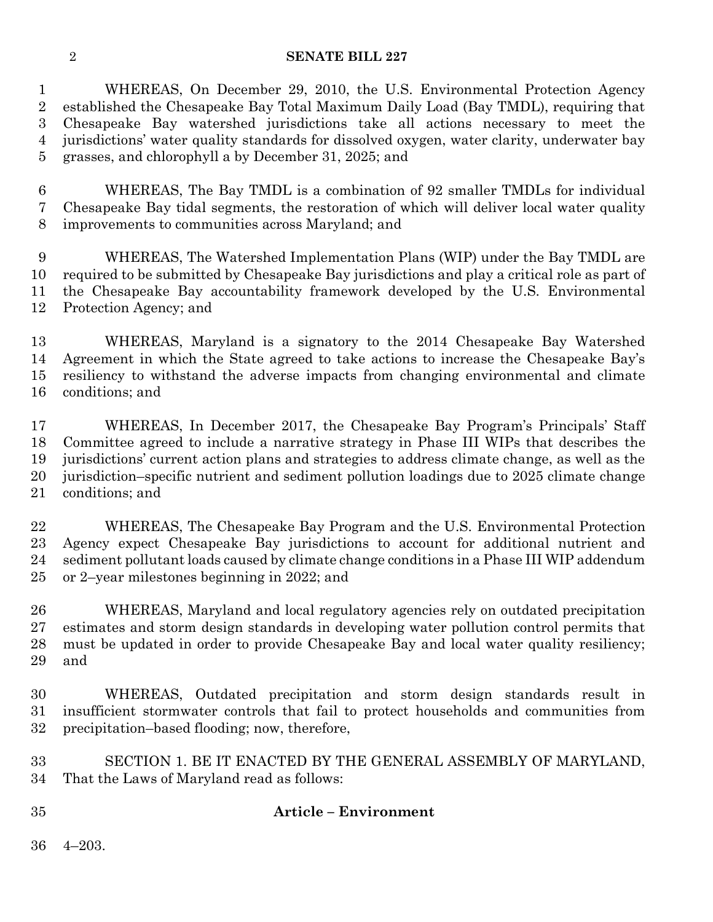#### **SENATE BILL 227**

 WHEREAS, On December 29, 2010, the U.S. Environmental Protection Agency established the Chesapeake Bay Total Maximum Daily Load (Bay TMDL), requiring that Chesapeake Bay watershed jurisdictions take all actions necessary to meet the jurisdictions' water quality standards for dissolved oxygen, water clarity, underwater bay grasses, and chlorophyll a by December 31, 2025; and

 WHEREAS, The Bay TMDL is a combination of 92 smaller TMDLs for individual Chesapeake Bay tidal segments, the restoration of which will deliver local water quality improvements to communities across Maryland; and

 WHEREAS, The Watershed Implementation Plans (WIP) under the Bay TMDL are required to be submitted by Chesapeake Bay jurisdictions and play a critical role as part of the Chesapeake Bay accountability framework developed by the U.S. Environmental Protection Agency; and

 WHEREAS, Maryland is a signatory to the 2014 Chesapeake Bay Watershed Agreement in which the State agreed to take actions to increase the Chesapeake Bay's resiliency to withstand the adverse impacts from changing environmental and climate conditions; and

 WHEREAS, In December 2017, the Chesapeake Bay Program's Principals' Staff Committee agreed to include a narrative strategy in Phase III WIPs that describes the jurisdictions' current action plans and strategies to address climate change, as well as the jurisdiction–specific nutrient and sediment pollution loadings due to 2025 climate change conditions; and

 WHEREAS, The Chesapeake Bay Program and the U.S. Environmental Protection Agency expect Chesapeake Bay jurisdictions to account for additional nutrient and sediment pollutant loads caused by climate change conditions in a Phase III WIP addendum or 2–year milestones beginning in 2022; and

 WHEREAS, Maryland and local regulatory agencies rely on outdated precipitation estimates and storm design standards in developing water pollution control permits that must be updated in order to provide Chesapeake Bay and local water quality resiliency; and

 WHEREAS, Outdated precipitation and storm design standards result in insufficient stormwater controls that fail to protect households and communities from precipitation–based flooding; now, therefore,

 SECTION 1. BE IT ENACTED BY THE GENERAL ASSEMBLY OF MARYLAND, That the Laws of Maryland read as follows:

## **Article – Environment**

4–203.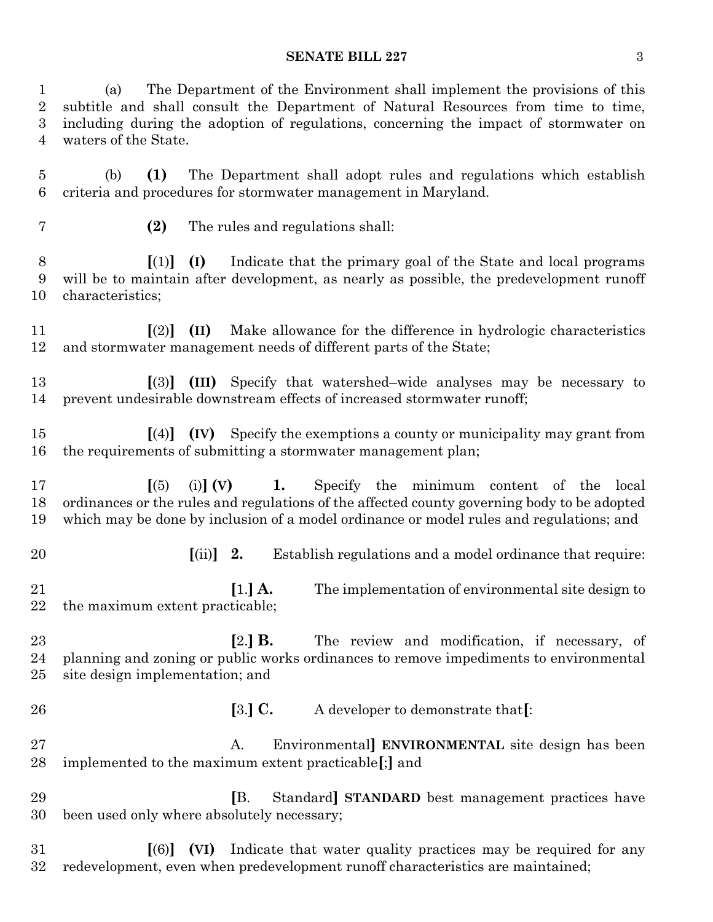#### **SENATE BILL 227** 3

 (a) The Department of the Environment shall implement the provisions of this subtitle and shall consult the Department of Natural Resources from time to time, including during the adoption of regulations, concerning the impact of stormwater on waters of the State.

 (b) **(1)** The Department shall adopt rules and regulations which establish criteria and procedures for stormwater management in Maryland.

- 
- **(2)** The rules and regulations shall:

 **[**(1)**] (I)** Indicate that the primary goal of the State and local programs will be to maintain after development, as nearly as possible, the predevelopment runoff characteristics;

 **[**(2)**] (II)** Make allowance for the difference in hydrologic characteristics and stormwater management needs of different parts of the State;

- **[**(3)**] (III)** Specify that watershed–wide analyses may be necessary to prevent undesirable downstream effects of increased stormwater runoff;
- **[**(4)**] (IV)** Specify the exemptions a county or municipality may grant from the requirements of submitting a stormwater management plan;

 **[**(5) (i)**] (V) 1.** Specify the minimum content of the local ordinances or the rules and regulations of the affected county governing body to be adopted which may be done by inclusion of a model ordinance or model rules and regulations; and

**[**(ii)**] 2.** Establish regulations and a model ordinance that require:

 **[**1.**] A.** The implementation of environmental site design to the maximum extent practicable;

 **[**2.**] B.** The review and modification, if necessary, of planning and zoning or public works ordinances to remove impediments to environmental site design implementation; and

**[**3.**] C.** A developer to demonstrate that**[**:

 A. Environmental**] ENVIRONMENTAL** site design has been implemented to the maximum extent practicable**[**;**]** and

 **[**B. Standard**] STANDARD** best management practices have been used only where absolutely necessary;

 **[**(6)**] (VI)** Indicate that water quality practices may be required for any redevelopment, even when predevelopment runoff characteristics are maintained;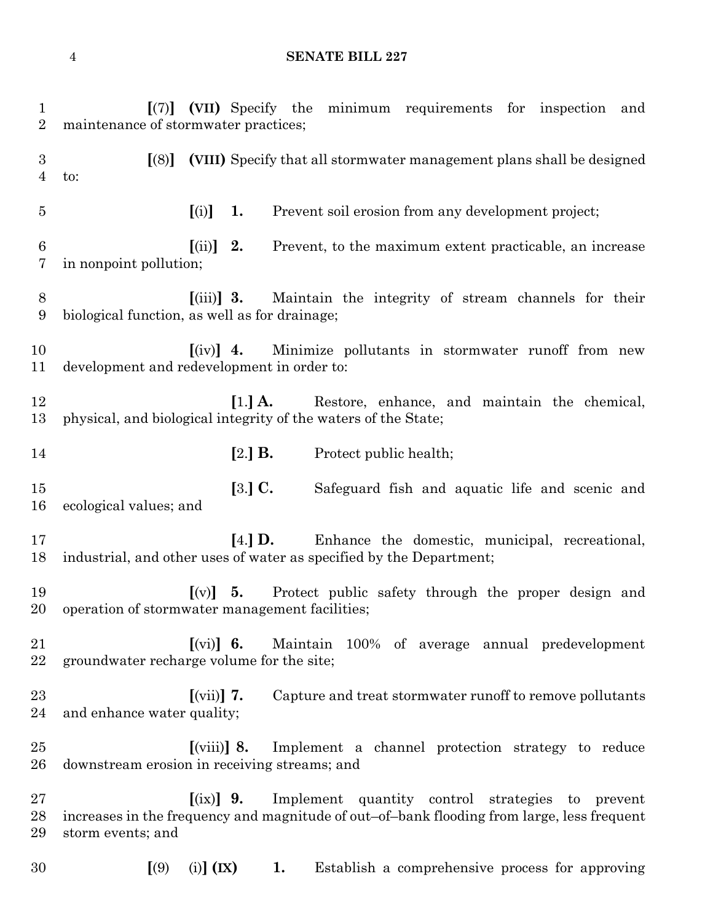# **SENATE BILL 227**

| $\mathbf{1}$<br>$\overline{2}$ | [(7)] (VII) Specify the minimum requirements for inspection<br>and<br>maintenance of stormwater practices;                                                                         |
|--------------------------------|------------------------------------------------------------------------------------------------------------------------------------------------------------------------------------|
| 3<br>4                         | (VIII) Specify that all stormwater management plans shall be designed<br>$\left[ (8) \right]$<br>to:                                                                               |
| $\overline{5}$                 | [(i)]<br>1.<br>Prevent soil erosion from any development project;                                                                                                                  |
| 6<br>7                         | $\left[ \mathrm{(ii)}\right]$<br>2.<br>Prevent, to the maximum extent practicable, an increase<br>in nonpoint pollution;                                                           |
| 8<br>9                         | Maintain the integrity of stream channels for their<br>$\left[ \left( \text{iii} \right) \right]$ 3.<br>biological function, as well as for drainage;                              |
| 10<br>11                       | Minimize pollutants in stormwater runoff from new<br>$\left[$ (iv) $\right]$ 4.<br>development and redevelopment in order to:                                                      |
| 12<br>13                       | $\left[1.\right]$ A.<br>Restore, enhance, and maintain the chemical,<br>physical, and biological integrity of the waters of the State;                                             |
| 14                             | $[2.]$ B.<br>Protect public health;                                                                                                                                                |
| 15<br>16                       | $[3.]$ C.<br>Safeguard fish and aquatic life and scenic and<br>ecological values; and                                                                                              |
| 17<br>18                       | $[4.]$ D.<br>Enhance the domestic, municipal, recreational,<br>industrial, and other uses of water as specified by the Department;                                                 |
| 19<br>20                       | Protect public safety through the proper design and<br>$[(v)] \quad 5.$<br>operation of stormwater management facilities;                                                          |
| 21<br>22                       | Maintain 100% of average annual predevelopment<br>$\left[\n\begin{array}{ccc} \n\end{array}\right]$ 6.<br>groundwater recharge volume for the site;                                |
| 23<br>24                       | $\left[\text{(vii)}\right]$ 7.<br>Capture and treat stormwater runoff to remove pollutants<br>and enhance water quality;                                                           |
| $25\,$<br>$26\,$               | $\left[\left(\text{viii}\right)\right]$ 8.<br>Implement a channel protection strategy to reduce<br>downstream erosion in receiving streams; and                                    |
| $27\,$<br>$^{28}$<br>29        | $[(ix)]$ 9.<br>Implement quantity control strategies to prevent<br>increases in the frequency and magnitude of out-of-bank flooding from large, less frequent<br>storm events; and |
| 30                             | $(i)$ $(K)$<br>Establish a comprehensive process for approving<br>(9)<br>1.                                                                                                        |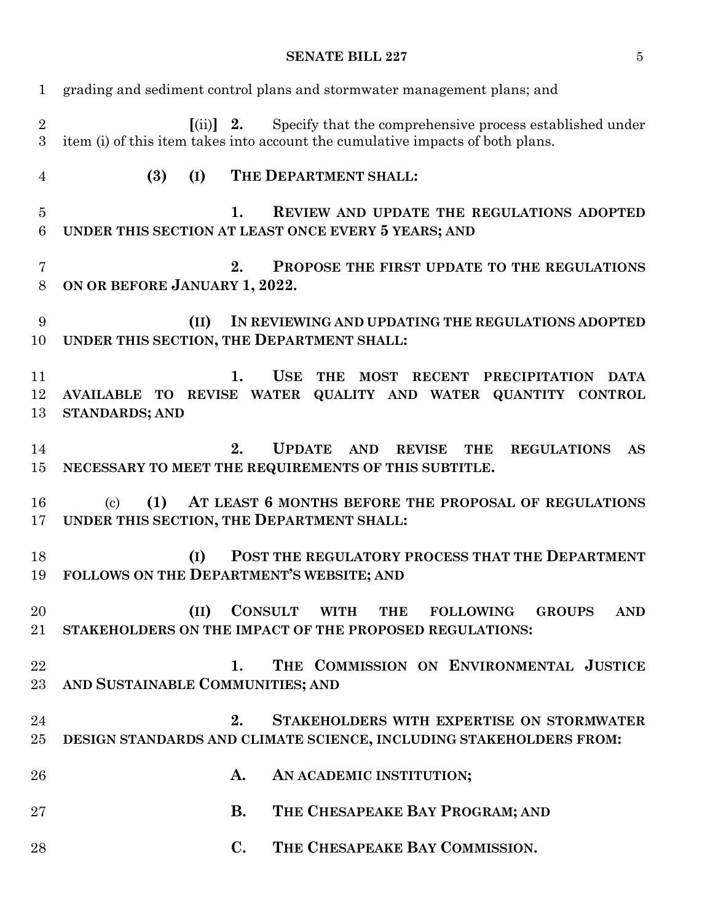# **SENATE BILL 227** 5

| $\mathbf{1}$        | grading and sediment control plans and stormwater management plans; and                                                                                                            |
|---------------------|------------------------------------------------------------------------------------------------------------------------------------------------------------------------------------|
| $\overline{2}$<br>3 | $\left[ \text{(ii)} \right]$ 2.<br>Specify that the comprehensive process established under<br>item (i) of this item takes into account the cumulative impacts of both plans.      |
| 4                   | (3)<br>THE DEPARTMENT SHALL:<br>(I)                                                                                                                                                |
| $\overline{5}$<br>6 | 1.<br>REVIEW AND UPDATE THE REGULATIONS ADOPTED<br>UNDER THIS SECTION AT LEAST ONCE EVERY 5 YEARS; AND                                                                             |
| 7<br>8              | 2.<br>PROPOSE THE FIRST UPDATE TO THE REGULATIONS<br>ON OR BEFORE JANUARY 1, 2022.                                                                                                 |
| 9<br>10             | (II)<br>IN REVIEWING AND UPDATING THE REGULATIONS ADOPTED<br>UNDER THIS SECTION, THE DEPARTMENT SHALL:                                                                             |
| 11<br>12<br>13      | $\mathbf{1}$ .<br><b>USE</b><br><b>THE</b><br>MOST RECENT PRECIPITATION<br>DATA<br>AVAILABLE TO REVISE WATER QUALITY AND WATER QUANTITY CONTROL<br><b>STANDARDS; AND</b>           |
| 14<br>15            | 2.<br><b>UPDATE</b><br><b>AND</b><br><b>REVISE</b><br><b>THE</b><br><b>REGULATIONS</b><br><b>AS</b><br>NECESSARY TO MEET THE REQUIREMENTS OF THIS SUBTITLE.                        |
| 16<br>17            | (1)<br>AT LEAST 6 MONTHS BEFORE THE PROPOSAL OF REGULATIONS<br>$\left( \mathrm{c}\right)$<br>UNDER THIS SECTION, THE DEPARTMENT SHALL:                                             |
| 18<br>19            | POST THE REGULATORY PROCESS THAT THE DEPARTMENT<br>(I)<br>FOLLOWS ON THE DEPARTMENT'S WEBSITE; AND                                                                                 |
| 20<br>21            | $\sim$ $\sim$<br><b>CONSULT</b><br><b>WITH</b><br><b>THE</b><br><b>FOLLOWING</b><br><b>GROUPS</b><br><b>AND</b><br>(II)<br>STAKEHOLDERS ON THE IMPACT OF THE PROPOSED REGULATIONS: |
| 22<br>23            | THE COMMISSION ON ENVIRONMENTAL JUSTICE<br>1.<br>AND SUSTAINABLE COMMUNITIES; AND                                                                                                  |
| 24<br>25            | 2.<br>STAKEHOLDERS WITH EXPERTISE ON STORMWATER<br>DESIGN STANDARDS AND CLIMATE SCIENCE, INCLUDING STAKEHOLDERS FROM:                                                              |
| 26                  | A.<br>AN ACADEMIC INSTITUTION;                                                                                                                                                     |
| $27\,$              | THE CHESAPEAKE BAY PROGRAM; AND<br><b>B.</b>                                                                                                                                       |
| 28                  | THE CHESAPEAKE BAY COMMISSION.<br>$\mathbf{C}$ .                                                                                                                                   |